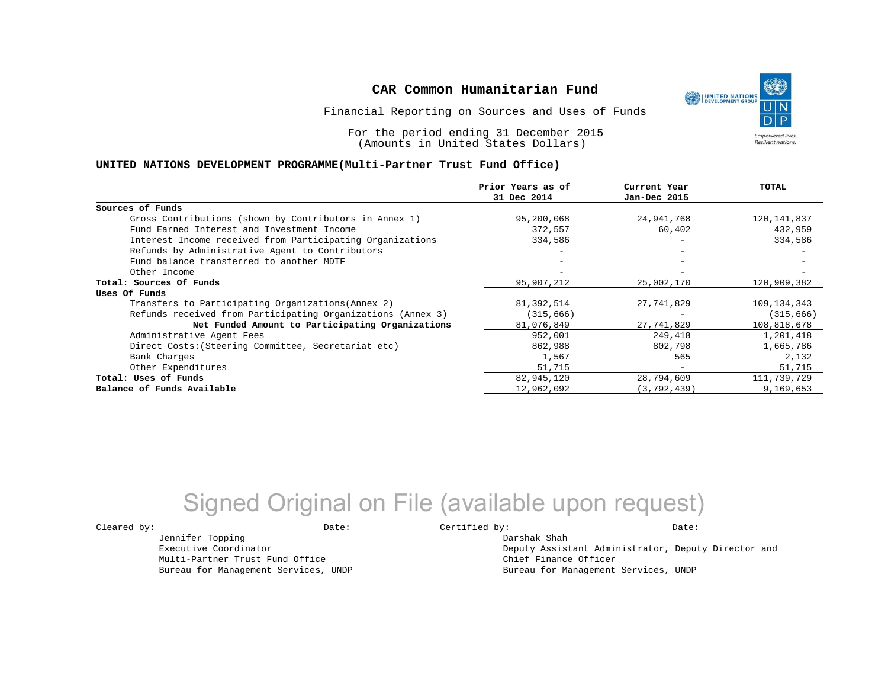Financial Reporting on Sources and Uses of Funds

For the period ending 31 December 2015 (Amounts in United States Dollars)

#### **UNITED NATIONS DEVELOPMENT PROGRAMME(Multi-Partner Trust Fund Office)**

|                                                             | Prior Years as of | Current Year             | TOTAL       |
|-------------------------------------------------------------|-------------------|--------------------------|-------------|
|                                                             | 31 Dec 2014       | Jan-Dec 2015             |             |
| Sources of Funds                                            |                   |                          |             |
| Gross Contributions (shown by Contributors in Annex 1)      | 95,200,068        | 24,941,768               | 120,141,837 |
| Fund Earned Interest and Investment Income                  | 372,557           | 60,402                   | 432,959     |
| Interest Income received from Participating Organizations   | 334,586           | $\overline{\phantom{m}}$ | 334,586     |
| Refunds by Administrative Agent to Contributors             |                   |                          |             |
| Fund balance transferred to another MDTF                    |                   |                          |             |
| Other Income                                                |                   |                          |             |
| Total: Sources Of Funds                                     | 95,907,212        | 25,002,170               | 120,909,382 |
| Uses Of Funds                                               |                   |                          |             |
| Transfers to Participating Organizations (Annex 2)          | 81,392,514        | 27,741,829               | 109,134,343 |
| Refunds received from Participating Organizations (Annex 3) | (315,666)         |                          | (315, 666)  |
| Net Funded Amount to Participating Organizations            | 81,076,849        | 27,741,829               | 108,818,678 |
| Administrative Agent Fees                                   | 952,001           | 249,418                  | 1,201,418   |
| Direct Costs: (Steering Committee, Secretariat etc)         | 862,988           | 802,798                  | 1,665,786   |
| Bank Charges                                                | 1,567             | 565                      | 2,132       |
| Other Expenditures                                          | 51,715            | $\overline{\phantom{0}}$ | 51,715      |
| Total: Uses of Funds                                        | 82,945,120        | 28,794,609               | 111,739,729 |
| Balance of Funds Available                                  | 12,962,092        | (3, 792, 439)            | 9,169,653   |

## Signed Original on File (available upon request)

Jennifer Topping Executive Coordinator Multi-Partner Trust Fund Office Bureau for Management Services, UNDP

 $\texttt{Cleared by:}\footnotesize \begin{minipage}{0.9\linewidth} \texttt{Date:}\footnotesize \begin{minipage}{0.9\linewidth} \texttt{Date:}\footnotesize \begin{minipage}{0.9\linewidth} \end{minipage} \end{minipage}$ 

Darshak Shah

Deputy Assistant Administrator, Deputy Director and Chief Finance Officer Bureau for Management Services, UNDP

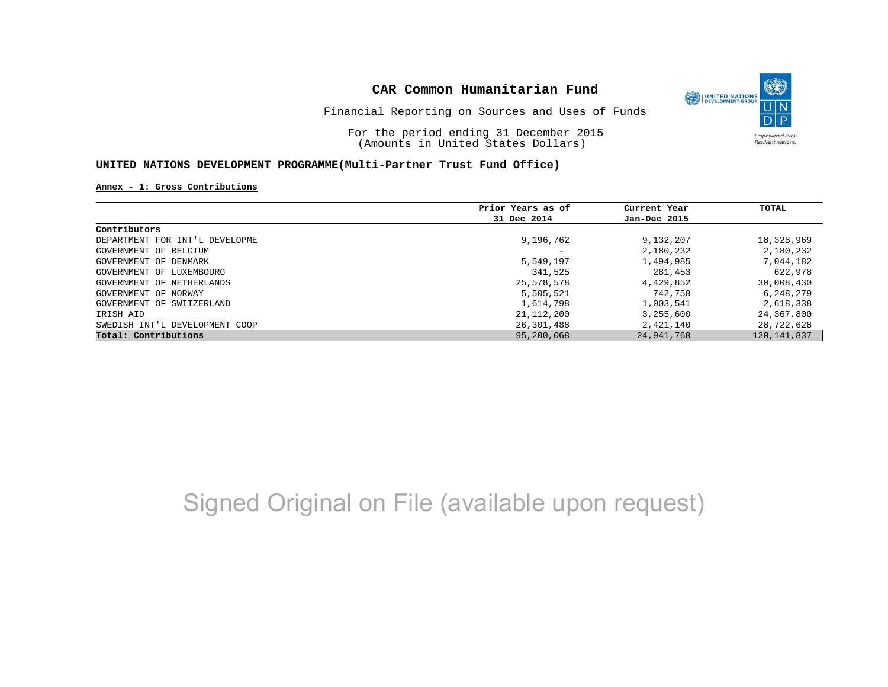

Financial Reporting on Sources and Uses of Funds

For the period ending 31 December 2015 (Amounts in United States Dollars)

#### **UNITED NATIONS DEVELOPMENT PROGRAMME(Multi-Partner Trust Fund Office)**

**Annex - 1: Gross Contributions**

|                                | Prior Years as of | Current Year | TOTAL         |
|--------------------------------|-------------------|--------------|---------------|
|                                | 31 Dec 2014       | Jan-Dec 2015 |               |
| Contributors                   |                   |              |               |
| DEPARTMENT FOR INT'L DEVELOPME | 9,196,762         | 9,132,207    | 18,328,969    |
| GOVERNMENT OF BELGIUM          |                   | 2,180,232    | 2,180,232     |
| GOVERNMENT OF DENMARK          | 5,549,197         | 1,494,985    | 7,044,182     |
| GOVERNMENT OF LUXEMBOURG       | 341,525           | 281,453      | 622,978       |
| GOVERNMENT OF NETHERLANDS      | 25,578,578        | 4,429,852    | 30,008,430    |
| GOVERNMENT OF NORWAY           | 5,505,521         | 742,758      | 6,248,279     |
| GOVERNMENT OF SWITZERLAND      | 1,614,798         | 1,003,541    | 2,618,338     |
| IRISH AID                      | 21, 112, 200      | 3,255,600    | 24,367,800    |
| SWEDISH INT'L DEVELOPMENT COOP | 26,301,488        | 2,421,140    | 28,722,628    |
| Total: Contributions           | 95,200,068        | 24,941,768   | 120, 141, 837 |

# Signed Original on File (available upon request)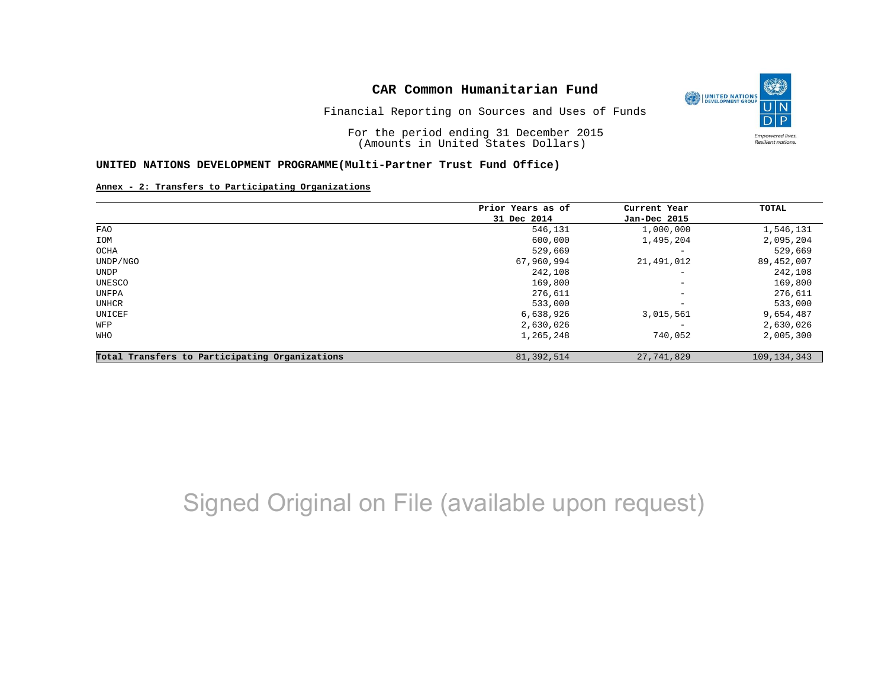

Financial Reporting on Sources and Uses of Funds

For the period ending 31 December 2015 (Amounts in United States Dollars)

#### **UNITED NATIONS DEVELOPMENT PROGRAMME(Multi-Partner Trust Fund Office)**

#### **Annex - 2: Transfers to Participating Organizations**

|                                                | Prior Years as of | Current Year             | TOTAL         |
|------------------------------------------------|-------------------|--------------------------|---------------|
|                                                | 31 Dec 2014       | Jan-Dec 2015             |               |
| FAO                                            | 546,131           | 1,000,000                | 1,546,131     |
| IOM                                            | 600,000           | 1,495,204                | 2,095,204     |
| OCHA                                           | 529,669           | $\qquad \qquad -$        | 529,669       |
| UNDP/NGO                                       | 67,960,994        | 21,491,012               | 89,452,007    |
| UNDP                                           | 242,108           | $-$                      | 242,108       |
| UNESCO                                         | 169,800           | $\overline{\phantom{m}}$ | 169,800       |
| UNFPA                                          | 276,611           | $\overline{\phantom{a}}$ | 276,611       |
| UNHCR                                          | 533,000           | $\overline{\phantom{m}}$ | 533,000       |
| UNICEF                                         | 6,638,926         | 3,015,561                | 9,654,487     |
| WFP                                            | 2,630,026         | $\qquad \qquad -$        | 2,630,026     |
| WHO                                            | 1,265,248         | 740,052                  | 2,005,300     |
| Total Transfers to Participating Organizations | 81, 392, 514      | 27,741,829               | 109, 134, 343 |

# Signed Original on File (available upon request)